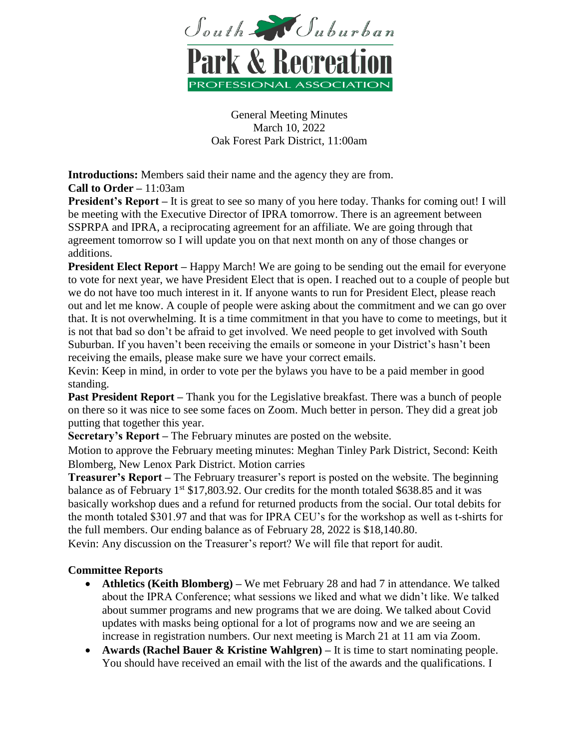

General Meeting Minutes March 10, 2022 Oak Forest Park District, 11:00am

**Introductions:** Members said their name and the agency they are from. **Call to Order –** 11:03am

**President's Report** – It is great to see so many of you here today. Thanks for coming out! I will be meeting with the Executive Director of IPRA tomorrow. There is an agreement between SSPRPA and IPRA, a reciprocating agreement for an affiliate. We are going through that agreement tomorrow so I will update you on that next month on any of those changes or additions.

**President Elect Report** – Happy March! We are going to be sending out the email for everyone to vote for next year, we have President Elect that is open. I reached out to a couple of people but we do not have too much interest in it. If anyone wants to run for President Elect, please reach out and let me know. A couple of people were asking about the commitment and we can go over that. It is not overwhelming. It is a time commitment in that you have to come to meetings, but it is not that bad so don't be afraid to get involved. We need people to get involved with South Suburban. If you haven't been receiving the emails or someone in your District's hasn't been receiving the emails, please make sure we have your correct emails.

Kevin: Keep in mind, in order to vote per the bylaws you have to be a paid member in good standing.

**Past President Report** – Thank you for the Legislative breakfast. There was a bunch of people on there so it was nice to see some faces on Zoom. Much better in person. They did a great job putting that together this year.

**Secretary's Report –** The February minutes are posted on the website.

Motion to approve the February meeting minutes: Meghan Tinley Park District, Second: Keith Blomberg, New Lenox Park District. Motion carries

**Treasurer's Report –** The February treasurer's report is posted on the website. The beginning balance as of February  $1^{st}$  \$17,803.92. Our credits for the month totaled \$638.85 and it was basically workshop dues and a refund for returned products from the social. Our total debits for the month totaled \$301.97 and that was for IPRA CEU's for the workshop as well as t-shirts for the full members. Our ending balance as of February 28, 2022 is \$18,140.80.

Kevin: Any discussion on the Treasurer's report? We will file that report for audit.

# **Committee Reports**

- **Athletics (Keith Blomberg) –** We met February 28 and had 7 in attendance. We talked about the IPRA Conference; what sessions we liked and what we didn't like. We talked about summer programs and new programs that we are doing. We talked about Covid updates with masks being optional for a lot of programs now and we are seeing an increase in registration numbers. Our next meeting is March 21 at 11 am via Zoom.
- **Awards (Rachel Bauer & Kristine Wahlgren) –** It is time to start nominating people. You should have received an email with the list of the awards and the qualifications. I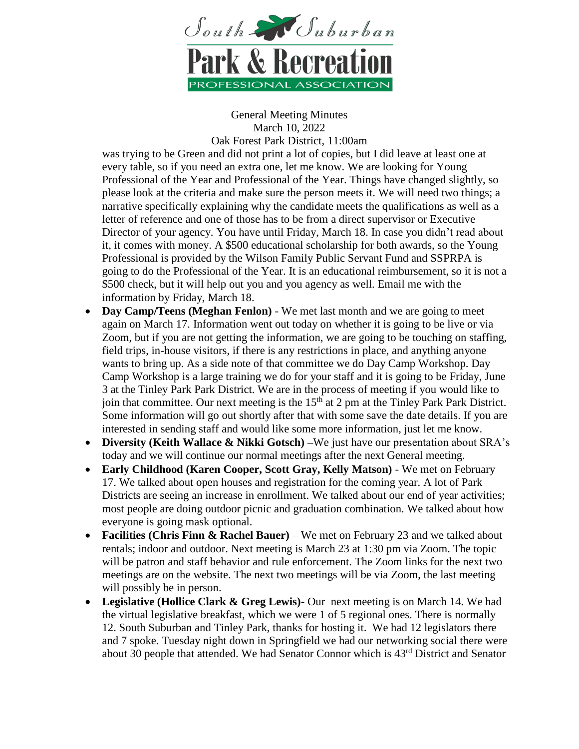

General Meeting Minutes March 10, 2022

Oak Forest Park District, 11:00am

was trying to be Green and did not print a lot of copies, but I did leave at least one at every table, so if you need an extra one, let me know. We are looking for Young Professional of the Year and Professional of the Year. Things have changed slightly, so please look at the criteria and make sure the person meets it. We will need two things; a narrative specifically explaining why the candidate meets the qualifications as well as a letter of reference and one of those has to be from a direct supervisor or Executive Director of your agency. You have until Friday, March 18. In case you didn't read about it, it comes with money. A \$500 educational scholarship for both awards, so the Young Professional is provided by the Wilson Family Public Servant Fund and SSPRPA is going to do the Professional of the Year. It is an educational reimbursement, so it is not a \$500 check, but it will help out you and you agency as well. Email me with the information by Friday, March 18.

- **Day Camp/Teens (Meghan Fenlon)** We met last month and we are going to meet again on March 17. Information went out today on whether it is going to be live or via Zoom, but if you are not getting the information, we are going to be touching on staffing, field trips, in-house visitors, if there is any restrictions in place, and anything anyone wants to bring up. As a side note of that committee we do Day Camp Workshop. Day Camp Workshop is a large training we do for your staff and it is going to be Friday, June 3 at the Tinley Park Park District. We are in the process of meeting if you would like to join that committee. Our next meeting is the  $15<sup>th</sup>$  at 2 pm at the Tinley Park Park District. Some information will go out shortly after that with some save the date details. If you are interested in sending staff and would like some more information, just let me know.
- **Diversity (Keith Wallace & Nikki Gotsch) –**We just have our presentation about SRA's today and we will continue our normal meetings after the next General meeting.
- **Early Childhood (Karen Cooper, Scott Gray, Kelly Matson)** We met on February 17. We talked about open houses and registration for the coming year. A lot of Park Districts are seeing an increase in enrollment. We talked about our end of year activities; most people are doing outdoor picnic and graduation combination. We talked about how everyone is going mask optional.
- **Facilities (Chris Finn & Rachel Bauer)** We met on February 23 and we talked about rentals; indoor and outdoor. Next meeting is March 23 at 1:30 pm via Zoom. The topic will be patron and staff behavior and rule enforcement. The Zoom links for the next two meetings are on the website. The next two meetings will be via Zoom, the last meeting will possibly be in person.
- **Legislative (Hollice Clark & Greg Lewis)** Our next meeting is on March 14. We had the virtual legislative breakfast, which we were 1 of 5 regional ones. There is normally 12. South Suburban and Tinley Park, thanks for hosting it. We had 12 legislators there and 7 spoke. Tuesday night down in Springfield we had our networking social there were about 30 people that attended. We had Senator Connor which is 43rd District and Senator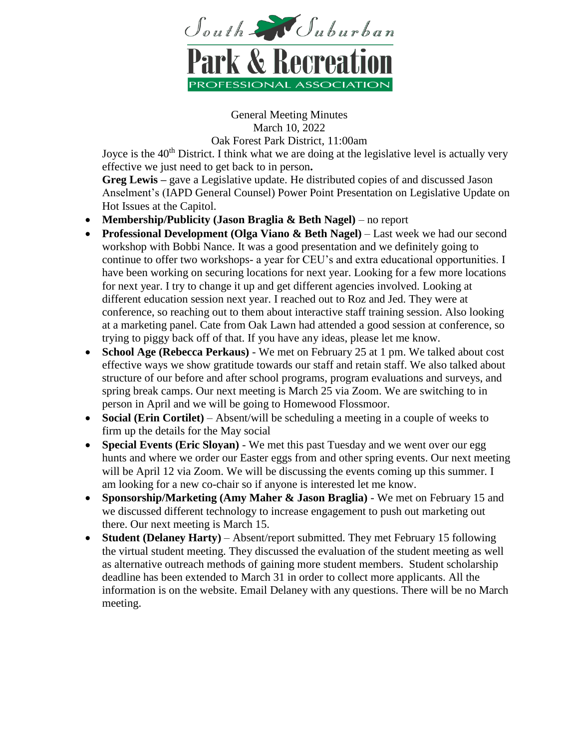

General Meeting Minutes March 10, 2022

Oak Forest Park District, 11:00am

Joyce is the  $40<sup>th</sup>$  District. I think what we are doing at the legislative level is actually very effective we just need to get back to in person**.**

**Greg Lewis –** gave a Legislative update. He distributed copies of and discussed Jason Anselment's (IAPD General Counsel) Power Point Presentation on Legislative Update on Hot Issues at the Capitol.

- **Membership/Publicity (Jason Braglia & Beth Nagel)** no report
- **Professional Development (Olga Viano & Beth Nagel)** Last week we had our second workshop with Bobbi Nance. It was a good presentation and we definitely going to continue to offer two workshops- a year for CEU's and extra educational opportunities. I have been working on securing locations for next year. Looking for a few more locations for next year. I try to change it up and get different agencies involved. Looking at different education session next year. I reached out to Roz and Jed. They were at conference, so reaching out to them about interactive staff training session. Also looking at a marketing panel. Cate from Oak Lawn had attended a good session at conference, so trying to piggy back off of that. If you have any ideas, please let me know.
- **School Age (Rebecca Perkaus)** We met on February 25 at 1 pm. We talked about cost effective ways we show gratitude towards our staff and retain staff. We also talked about structure of our before and after school programs, program evaluations and surveys, and spring break camps. Our next meeting is March 25 via Zoom. We are switching to in person in April and we will be going to Homewood Flossmoor.
- **Social (Erin Cortilet)** Absent/will be scheduling a meeting in a couple of weeks to firm up the details for the May social
- **Special Events (Eric Sloyan)** We met this past Tuesday and we went over our egg hunts and where we order our Easter eggs from and other spring events. Our next meeting will be April 12 via Zoom. We will be discussing the events coming up this summer. I am looking for a new co-chair so if anyone is interested let me know.
- **Sponsorship/Marketing (Amy Maher & Jason Braglia)** We met on February 15 and we discussed different technology to increase engagement to push out marketing out there. Our next meeting is March 15.
- **Student (Delaney Harty)** Absent/report submitted. They met February 15 following the virtual student meeting. They discussed the evaluation of the student meeting as well as alternative outreach methods of gaining more student members. Student scholarship deadline has been extended to March 31 in order to collect more applicants. All the information is on the website. Email Delaney with any questions. There will be no March meeting.